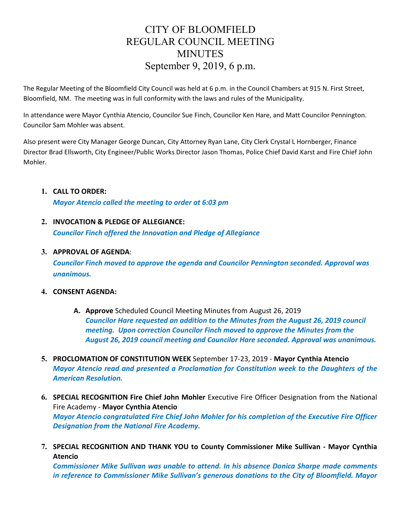# CITY OF BLOOMFIELD REGULAR COUNCIL MEETING **MINUTES** September 9, 2019, 6 p.m.

The Regular Meeting of the Bloomfield City Council was held at 6 p.m. in the Council Chambers at 915 N. First Street, Bloomfield, NM. The meeting was in full conformity with the laws and rules of the Municipality.

In attendance were Mayor Cynthia Atencio, Councilor Sue Finch, Councilor Ken Hare, and Matt Councilor Pennington. Councilor Sam Mohler was absent.

Also present were City Manager George Duncan, City Attorney Ryan Lane, City Clerk Crystal L Hornberger, Finance Director Brad Ellsworth, City Engineer/Public Works Director Jason Thomas, Police Chief David Karst and Fire Chief John Mohler.

# **1. CALL TO ORDER:**

*Mayor Atencio called the meeting to order at 6:03 pm*

# **2. INVOCATION & PLEDGE OF ALLEGIANCE:**

*Councilor Finch offered the Innovation and Pledge of Allegiance* 

# **3. APPROVAL OF AGENDA**:

*Councilor Finch moved to approve the agenda and Councilor Pennington seconded. Approval was unanimous.*

## **4. CONSENT AGENDA:**

- **A. Approve** Scheduled Council Meeting Minutes from August 26, 2019 *Councilor Hare requested an addition to the Minutes from the August 26, 2019 council meeting. Upon correction Councilor Finch moved to approve the Minutes from the August 26, 2019 council meeting and Councilor Hare seconded. Approval was unanimous.*
- **5. PROCLOMATION OF CONSTITUTION WEEK** September 17-23, 2019 **Mayor Cynthia Atencio** *Mayor Atencio read and presented a Proclamation for Constitution week to the Daughters of the American Resolution.*
- **6. SPECIAL RECOGNITION Fire Chief John Mohler** Executive Fire Officer Designation from the National Fire Academy - **Mayor Cynthia Atencio** *Mayor Atencio congratulated Fire Chief John Mohler for his completion of the Executive Fire Officer Designation from the National Fire Academy.*
- **7. SPECIAL RECOGNITION AND THANK YOU to County Commissioner Mike Sullivan - Mayor Cynthia Atencio**

*Commissioner Mike Sullivan was unable to attend. In his absence Donica Sharpe made comments in reference to Commissioner Mike Sullivan's generous donations to the City of Bloomfield. Mayor*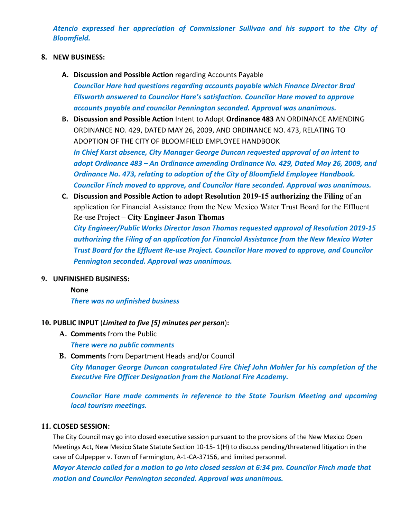*Atencio expressed her appreciation of Commissioner Sullivan and his support to the City of Bloomfield.* 

## **8. NEW BUSINESS:**

- **A. Discussion and Possible Action** regarding Accounts Payable *Councilor Hare had questions regarding accounts payable which Finance Director Brad Ellsworth answered to Councilor Hare's satisfaction. Councilor Hare moved to approve accounts payable and councilor Pennington seconded. Approval was unanimous.*
- **B. Discussion and Possible Action** Intent to Adopt **Ordinance 483** AN ORDINANCE AMENDING ORDINANCE NO. 429, DATED MAY 26, 2009, AND ORDINANCE NO. 473, RELATING TO ADOPTION OF THE CITY OF BLOOMFIELD EMPLOYEE HANDBOOK

*In Chief Karst absence, City Manager George Duncan requested approval of an intent to adopt Ordinance 483 – An Ordinance amending Ordinance No. 429, Dated May 26, 2009, and Ordinance No. 473, relating to adoption of the City of Bloomfield Employee Handbook. Councilor Finch moved to approve, and Councilor Hare seconded. Approval was unanimous.* 

**C. Discussion and Possible Action to adopt Resolution 2019-15 authorizing the Filing** of an application for Financial Assistance from the New Mexico Water Trust Board for the Effluent Re-use Project – **City Engineer Jason Thomas**

*City Engineer/Public Works Director Jason Thomas requested approval of Resolution 2019-15 authorizing the Filing of an application for Financial Assistance from the New Mexico Water Trust Board for the Effluent Re-use Project. Councilor Hare moved to approve, and Councilor Pennington seconded. Approval was unanimous.* 

#### **9. UNFINISHED BUSINESS:**

## **None**

*There was no unfinished business*

#### **10. PUBLIC INPUT** (*Limited to five [5] minutes per person*)**:**

**A. Comments** from the Public

*There were no public comments* 

**B. Comments** from Department Heads and/or Council

*City Manager George Duncan congratulated Fire Chief John Mohler for his completion of the Executive Fire Officer Designation from the National Fire Academy.* 

*Councilor Hare made comments in reference to the State Tourism Meeting and upcoming local tourism meetings.*

#### **11. CLOSED SESSION:**

The City Council may go into closed executive session pursuant to the provisions of the New Mexico Open Meetings Act, New Mexico State Statute Section 10-15- 1(H) to discuss pending/threatened litigation in the case of Culpepper v. Town of Farmington, A-1-CA-37156, and limited personnel.

*Mayor Atencio called for a motion to go into closed session at 6:34 pm. Councilor Finch made that motion and Councilor Pennington seconded. Approval was unanimous.*